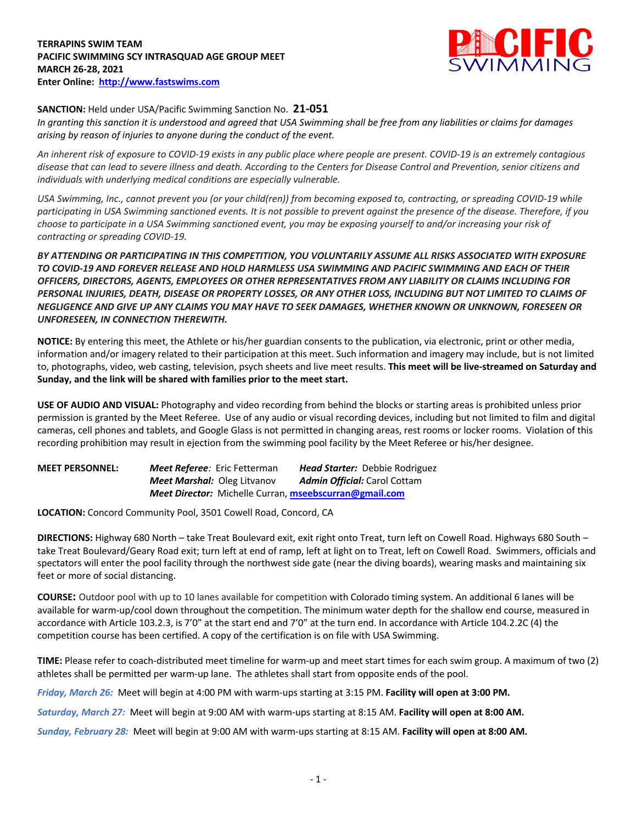

## **SANCTION:** Held under USA/Pacific Swimming Sanction No. **21-051**

*In granting this sanction it is understood and agreed that USA Swimming shall be free from any liabilities or claims for damages arising by reason of injuries to anyone during the conduct of the event.* 

*An inherent risk of exposure to COVID-19 exists in any public place where people are present. COVID-19 is an extremely contagious disease that can lead to severe illness and death. According to the Centers for Disease Control and Prevention, senior citizens and individuals with underlying medical conditions are especially vulnerable.*

*USA Swimming, Inc., cannot prevent you (or your child(ren)) from becoming exposed to, contracting, or spreading COVID-19 while participating in USA Swimming sanctioned events. It is not possible to prevent against the presence of the disease. Therefore, if you choose to participate in a USA Swimming sanctioned event, you may be exposing yourself to and/or increasing your risk of contracting or spreading COVID-19.*

*BY ATTENDING OR PARTICIPATING IN THIS COMPETITION, YOU VOLUNTARILY ASSUME ALL RISKS ASSOCIATED WITH EXPOSURE TO COVID-19 AND FOREVER RELEASE AND HOLD HARMLESS USA SWIMMING AND PACIFIC SWIMMING AND EACH OF THEIR OFFICERS, DIRECTORS, AGENTS, EMPLOYEES OR OTHER REPRESENTATIVES FROM ANY LIABILITY OR CLAIMS INCLUDING FOR PERSONAL INJURIES, DEATH, DISEASE OR PROPERTY LOSSES, OR ANY OTHER LOSS, INCLUDING BUT NOT LIMITED TO CLAIMS OF NEGLIGENCE AND GIVE UP ANY CLAIMS YOU MAY HAVE TO SEEK DAMAGES, WHETHER KNOWN OR UNKNOWN, FORESEEN OR UNFORESEEN, IN CONNECTION THEREWITH.*

**NOTICE:** By entering this meet, the Athlete or his/her guardian consents to the publication, via electronic, print or other media, information and/or imagery related to their participation at this meet. Such information and imagery may include, but is not limited to, photographs, video, web casting, television, psych sheets and live meet results. **This meet will be live-streamed on Saturday and Sunday, and the link will be shared with families prior to the meet start.**

**USE OF AUDIO AND VISUAL:** Photography and video recording from behind the blocks or starting areas is prohibited unless prior permission is granted by the Meet Referee. Use of any audio or visual recording devices, including but not limited to film and digital cameras, cell phones and tablets, and Google Glass is not permitted in changing areas, rest rooms or locker rooms. Violation of this recording prohibition may result in ejection from the swimming pool facility by the Meet Referee or his/her designee.

| <b>MEET PERSONNEL:</b> | <b>Meet Referee:</b> Eric Fetterman                    | <b>Head Starter:</b> Debbie Rodriguez |
|------------------------|--------------------------------------------------------|---------------------------------------|
|                        | <b>Meet Marshal: Oleg Litvanov</b>                     | <b>Admin Official:</b> Carol Cottam   |
|                        | Meet Director: Michelle Curran, mseebscurran@gmail.com |                                       |

**LOCATION:** Concord Community Pool, 3501 Cowell Road, Concord, CA

**DIRECTIONS:** Highway 680 North – take Treat Boulevard exit, exit right onto Treat, turn left on Cowell Road. Highways 680 South – take Treat Boulevard/Geary Road exit; turn left at end of ramp, left at light on to Treat, left on Cowell Road. Swimmers, officials and spectators will enter the pool facility through the northwest side gate (near the diving boards), wearing masks and maintaining six feet or more of social distancing.

**COURSE:** Outdoor pool with up to 10 lanes available for competition with Colorado timing system. An additional 6 lanes will be available for warm-up/cool down throughout the competition. The minimum water depth for the shallow end course, measured in accordance with Article 103.2.3, is 7'0" at the start end and 7'0" at the turn end. In accordance with Article 104.2.2C (4) the competition course has been certified. A copy of the certification is on file with USA Swimming.

**TIME:** Please refer to coach-distributed meet timeline for warm-up and meet start times for each swim group. A maximum of two (2) athletes shall be permitted per warm-up lane. The athletes shall start from opposite ends of the pool.

*Friday, March 26:* Meet will begin at 4:00 PM with warm-ups starting at 3:15 PM. **Facility will open at 3:00 PM.**

*Saturday, March 27:* Meet will begin at 9:00 AM with warm-ups starting at 8:15 AM. **Facility will open at 8:00 AM.**

*Sunday, February 28:* Meet will begin at 9:00 AM with warm-ups starting at 8:15 AM. **Facility will open at 8:00 AM.**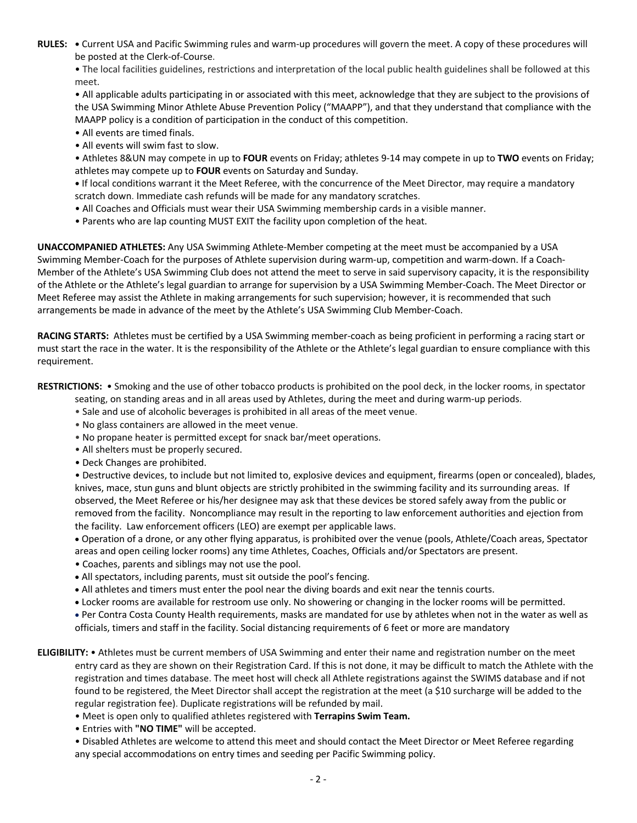**RULES: •** Current USA and Pacific Swimming rules and warm-up procedures will govern the meet. A copy of these procedures will be posted at the Clerk-of-Course.

• The local facilities guidelines, restrictions and interpretation of the local public health guidelines shall be followed at this meet.

• All applicable adults participating in or associated with this meet, acknowledge that they are subject to the provisions of the USA Swimming Minor Athlete Abuse Prevention Policy ("MAAPP"), and that they understand that compliance with the MAAPP policy is a condition of participation in the conduct of this competition.

• All events are timed finals.

- All events will swim fast to slow.
- Athletes 8&UN may compete in up to **FOUR** events on Friday; athletes 9-14 may compete in up to **TWO** events on Friday; athletes may compete up to **FOUR** events on Saturday and Sunday.

**•** If local conditions warrant it the Meet Referee, with the concurrence of the Meet Director, may require a mandatory scratch down. Immediate cash refunds will be made for any mandatory scratches.

- All Coaches and Officials must wear their USA Swimming membership cards in a visible manner.
- Parents who are lap counting MUST EXIT the facility upon completion of the heat.

**UNACCOMPANIED ATHLETES:** Any USA Swimming Athlete-Member competing at the meet must be accompanied by a USA Swimming Member-Coach for the purposes of Athlete supervision during warm-up, competition and warm-down. If a Coach-Member of the Athlete's USA Swimming Club does not attend the meet to serve in said supervisory capacity, it is the responsibility of the Athlete or the Athlete's legal guardian to arrange for supervision by a USA Swimming Member-Coach. The Meet Director or Meet Referee may assist the Athlete in making arrangements for such supervision; however, it is recommended that such arrangements be made in advance of the meet by the Athlete's USA Swimming Club Member-Coach.

**RACING STARTS:** Athletes must be certified by a USA Swimming member-coach as being proficient in performing a racing start or must start the race in the water. It is the responsibility of the Athlete or the Athlete's legal guardian to ensure compliance with this requirement.

**RESTRICTIONS:** • Smoking and the use of other tobacco products is prohibited on the pool deck, in the locker rooms, in spectator seating, on standing areas and in all areas used by Athletes, during the meet and during warm-up periods.

- Sale and use of alcoholic beverages is prohibited in all areas of the meet venue.
- No glass containers are allowed in the meet venue.
- No propane heater is permitted except for snack bar/meet operations.
- All shelters must be properly secured.
- Deck Changes are prohibited.

• Destructive devices, to include but not limited to, explosive devices and equipment, firearms (open or concealed), blades, knives, mace, stun guns and blunt objects are strictly prohibited in the swimming facility and its surrounding areas. If observed, the Meet Referee or his/her designee may ask that these devices be stored safely away from the public or removed from the facility. Noncompliance may result in the reporting to law enforcement authorities and ejection from the facility. Law enforcement officers (LEO) are exempt per applicable laws.

• Operation of a drone, or any other flying apparatus, is prohibited over the venue (pools, Athlete/Coach areas, Spectator areas and open ceiling locker rooms) any time Athletes, Coaches, Officials and/or Spectators are present.

- Coaches, parents and siblings may not use the pool.
- All spectators, including parents, must sit outside the pool's fencing.
- All athletes and timers must enter the pool near the diving boards and exit near the tennis courts.
- Locker rooms are available for restroom use only. No showering or changing in the locker rooms will be permitted.

• Per Contra Costa County Health requirements, masks are mandated for use by athletes when not in the water as well as officials, timers and staff in the facility. Social distancing requirements of 6 feet or more are mandatory

**ELIGIBILITY:** • Athletes must be current members of USA Swimming and enter their name and registration number on the meet entry card as they are shown on their Registration Card. If this is not done, it may be difficult to match the Athlete with the registration and times database. The meet host will check all Athlete registrations against the SWIMS database and if not found to be registered, the Meet Director shall accept the registration at the meet (a \$10 surcharge will be added to the regular registration fee). Duplicate registrations will be refunded by mail.

- Meet is open only to qualified athletes registered with **Terrapins Swim Team.**
- Entries with **"NO TIME"** will be accepted.

• Disabled Athletes are welcome to attend this meet and should contact the Meet Director or Meet Referee regarding any special accommodations on entry times and seeding per Pacific Swimming policy.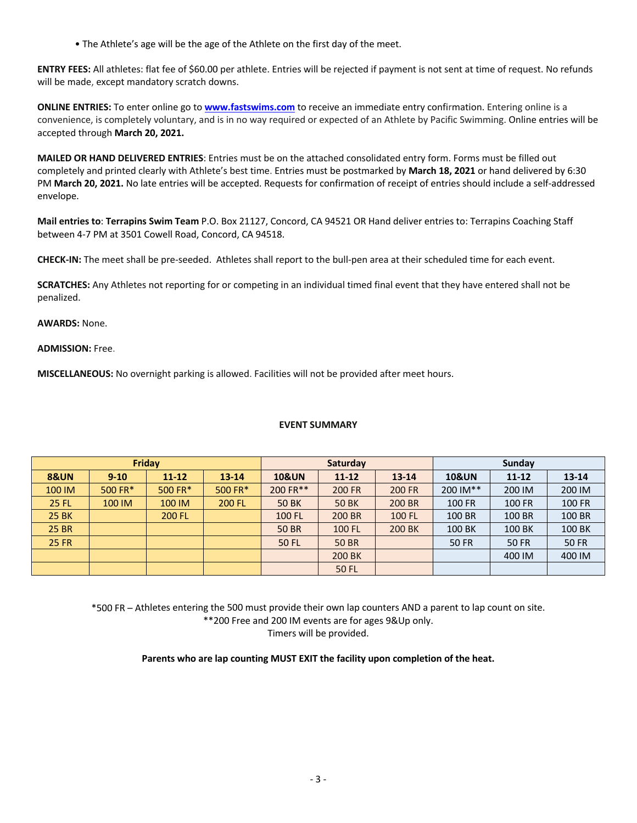• The Athlete's age will be the age of the Athlete on the first day of the meet.

**ENTRY FEES:** All athletes: flat fee of \$60.00 per athlete. Entries will be rejected if payment is not sent at time of request. No refunds will be made, except mandatory scratch downs.

**ONLINE ENTRIES:** To enter online go to **www.fastswims.com** to receive an immediate entry confirmation. Entering online is a convenience, is completely voluntary, and is in no way required or expected of an Athlete by Pacific Swimming. Online entries will be accepted through **March 20, 2021.**

**MAILED OR HAND DELIVERED ENTRIES**: Entries must be on the attached consolidated entry form. Forms must be filled out completely and printed clearly with Athlete's best time. Entries must be postmarked by **March 18, 2021** or hand delivered by 6:30 PM **March 20, 2021.** No late entries will be accepted. Requests for confirmation of receipt of entries should include a self-addressed envelope.

**Mail entries to**: **Terrapins Swim Team** P.O. Box 21127, Concord, CA 94521 OR Hand deliver entries to: Terrapins Coaching Staff between 4-7 PM at 3501 Cowell Road, Concord, CA 94518.

**CHECK-IN:** The meet shall be pre-seeded. Athletes shall report to the bull-pen area at their scheduled time for each event.

**SCRATCHES:** Any Athletes not reporting for or competing in an individual timed final event that they have entered shall not be penalized.

**AWARDS:** None.

**ADMISSION:** Free.

**MISCELLANEOUS:** No overnight parking is allowed. Facilities will not be provided after meet hours.

## **EVENT SUMMARY**

| <b>Friday</b>   |          |               |           | Saturday                                   |               |                  | Sunday        |              |              |  |
|-----------------|----------|---------------|-----------|--------------------------------------------|---------------|------------------|---------------|--------------|--------------|--|
| <b>8&amp;UN</b> | $9 - 10$ | $11 - 12$     | $13 - 14$ | <b>10&amp;UN</b><br>$11 - 12$<br>$13 - 14$ |               | <b>10&amp;UN</b> | $11 - 12$     | $13 - 14$    |              |  |
| 100 IM          | 500 FR*  | 500 FR*       | 500 FR*   | 200 FR**                                   | <b>200 FR</b> | <b>200 FR</b>    | 200 IM**      | 200 IM       | 200 IM       |  |
| 25 FL           | 100 IM   | 100 IM        | 200 FL    | <b>50 BK</b>                               | <b>50 BK</b>  | 200 BR           | <b>100 FR</b> | 100 FR       | 100 FR       |  |
| 25 BK           |          | <b>200 FL</b> |           | 100 FL                                     | 200 BR        | 100 FL           | 100 BR        | 100 BR       | 100 BR       |  |
| <b>25 BR</b>    |          |               |           | <b>50 BR</b>                               | 100 FL        | 200 BK           | 100 BK        | 100 BK       | 100 BK       |  |
| <b>25 FR</b>    |          |               |           | 50 FL                                      | <b>50 BR</b>  |                  | <b>50 FR</b>  | <b>50 FR</b> | <b>50 FR</b> |  |
|                 |          |               |           |                                            | 200 BK        |                  |               | 400 IM       | 400 IM       |  |
|                 |          |               |           |                                            | <b>50 FL</b>  |                  |               |              |              |  |

\*500 FR – Athletes entering the 500 must provide their own lap counters AND a parent to lap count on site. \*\*200 Free and 200 IM events are for ages 9&Up only. Timers will be provided.

**Parents who are lap counting MUST EXIT the facility upon completion of the heat.**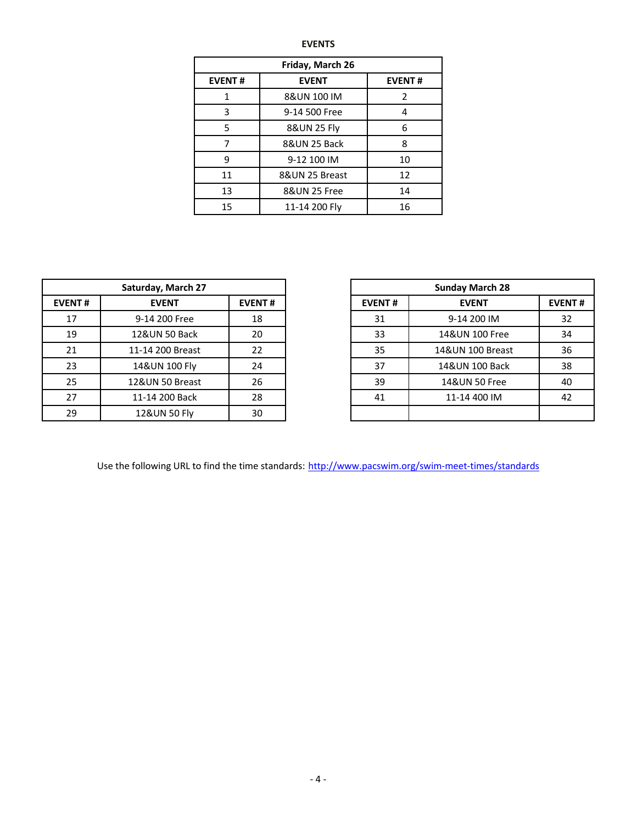| Friday, March 26 |                |               |  |  |  |  |  |  |
|------------------|----------------|---------------|--|--|--|--|--|--|
| <b>EVENT#</b>    | <b>EVENT</b>   | <b>EVENT#</b> |  |  |  |  |  |  |
| 1                | 8&UN 100 IM    | 2             |  |  |  |  |  |  |
| 3                | 9-14 500 Free  | 4             |  |  |  |  |  |  |
| 5                | 8&UN 25 Fly    | 6             |  |  |  |  |  |  |
| 7                | 8&UN 25 Back   | 8             |  |  |  |  |  |  |
| 9                | 9-12 100 IM    | 10            |  |  |  |  |  |  |
| 11               | 8&UN 25 Breast | 12            |  |  |  |  |  |  |
| 13               | 8&UN 25 Free   | 14            |  |  |  |  |  |  |
| 15               | 11-14 200 Fly  | 16            |  |  |  |  |  |  |

|                               | Saturday, March 27 | <b>Sunday March 28</b> |               |                 |  |
|-------------------------------|--------------------|------------------------|---------------|-----------------|--|
| <b>EVENT#</b><br><b>EVENT</b> |                    | <b>EVENT#</b>          | <b>EVENT#</b> | <b>EVENT</b>    |  |
| 17                            | 9-14 200 Free      | 18                     | 31            | 9-14 200 IM     |  |
| 19                            | 12&UN 50 Back      | 20                     | 33            | 14&UN 100 Free  |  |
| 21                            | 11-14 200 Breast   | 22                     | 35            | 14&UN 100 Breas |  |
| 23                            | 14&UN 100 Fly      | 24                     | 37            | 14&UN 100 Back  |  |
| 25                            | 12&UN 50 Breast    | 26                     | 39            | 14&UN 50 Free   |  |
| 27                            | 11-14 200 Back     | 28                     | 41            | 11-14 400 IM    |  |
| 29                            | 12&UN 50 Fly       | 30                     |               |                 |  |

| Saturday, March 27 |                  |               |
|--------------------|------------------|---------------|
| <b>EVENT#</b>      | <b>EVENT</b>     | <b>EVENT#</b> |
| 17                 | 9-14 200 Free    | 18            |
| 19                 | 12&UN 50 Back    | 20            |
| 21                 | 11-14 200 Breast | 22            |
| 23                 | 14&UN 100 Fly    | 24            |
| 25                 | 12&UN 50 Breast  | 26            |
| 27                 | 11-14 200 Back   | 28            |
| 29                 | 12&UN 50 Fly     | 30            |

Use the following URL to find the time standards: http://www.pacswim.org/swim-meet-times/standards